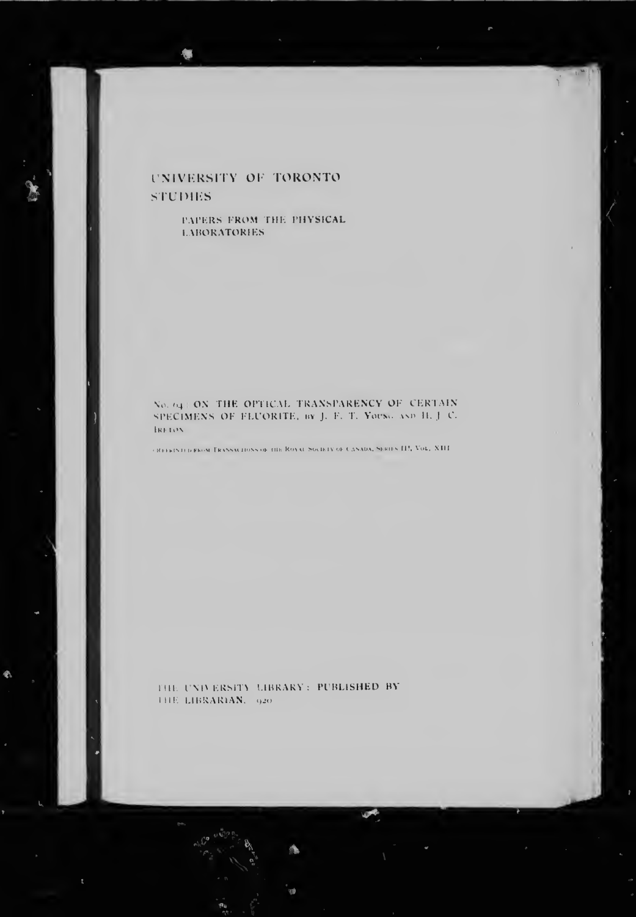# UNIVERSITY OF TORONTO **STUDIES**

PAPERS FROM THE PHYSICAL **LABORATORIES** 

No. 64 | ON THE OPTICAL TRANSPARENCY OF CERTAIN SPECIMENS OF FLUORITE, by J. F. T. Youse, asp H. J. C. **IRETON** 

OREEKIND FROM TRANSACHONS OF THE ROYAL SOCIETY OF CANADA, SERIES  $\Pi^{\bullet}_{A}$  Vol., XIII.

THE UNIVERSITY LIBRARY: PUBLISHED BY THE LIBRARIAN, 920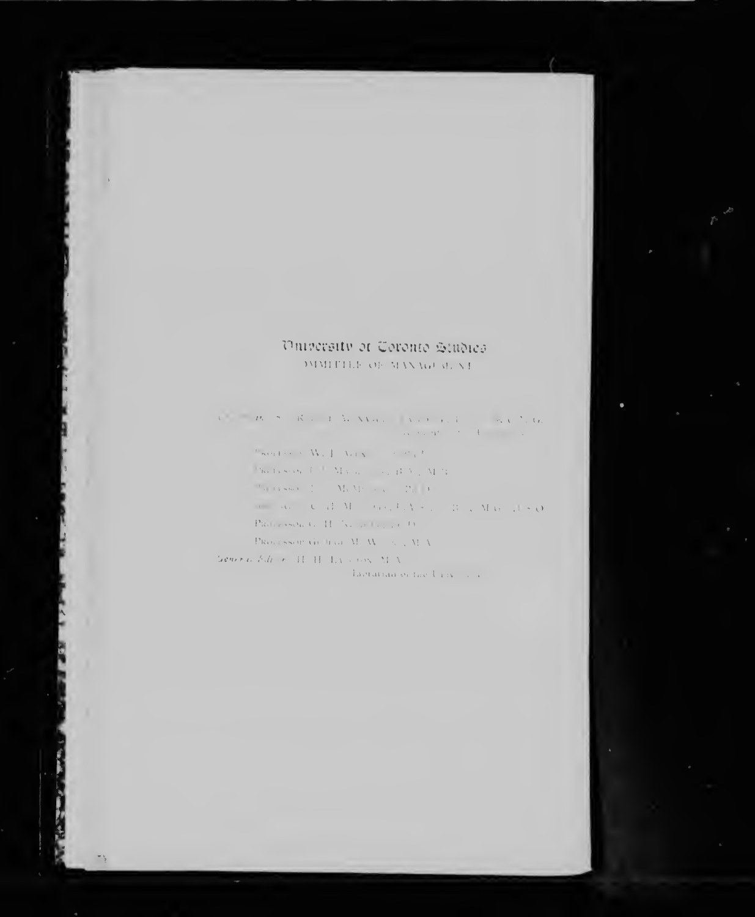# University of Coronic Studies MMITTLE OF MANAGEMENT

 $\mathcal{A}^{(n)} = \{p_{n} \mid s \in \mathbb{R}, \; n=1, \Delta_{n} \text{ VVA}\} = \{\chi_{n} \mid r_{n} \in \mathbb{R}, \; \chi_{n} \in \mathbb{R}, \; \chi_{n} \in \mathbb{R}, \; \chi_{n} \in \mathbb{R}, \; \chi_{n} \in \mathbb{R}, \; \chi_{n} \in \mathbb{R}, \; \chi_{n} \in \mathbb{R}, \; \chi_{n} \in \mathbb{R}, \; \chi_{n} \in \mathbb{R}, \; \chi_{n} \in \mathbb{R}, \; \chi_{n} \in \mathbb{R}, \; \$  $\mathcal{A}$  is a set of  $\mathcal{A}$  ,  $\mathcal{A}$  ,  $\mathcal{A}$  ,  $\mathcal{A}$  ,  $\mathcal{A}$  ,  $\mathcal{A}$ 

 $\mathcal{R}_{\mathbf{A}\mathbf{Q}}(\mathbf{a},\mathbf{b})\leftarrow\mathcal{R}_{\mathbf{A}}\mathcal{R}_{\mathbf{A}}\mathcal{R}_{\mathbf{A}}\mathcal{R}_{\mathbf{A}}\mathcal{R}_{\mathbf{A}}\mathcal{R}_{\mathbf{A}}\mathcal{R}_{\mathbf{A}}\mathcal{R}_{\mathbf{A}}\mathcal{R}_{\mathbf{A}}\mathcal{R}_{\mathbf{A}}$ 

 $\mathcal{D}_{\mathbf{K}(\mathbf{1})}$  is on  $\mathbb{R}^d$  . May all  $\mathbb{R}^d$  and  $\mathcal{N}_\mathbf{1}$  MaY

 $\mathcal{O}_{\mathcal{M}}$ ri sso $\mathcal{O}_{\mathcal{M}}(\mathcal{O})$  . My Mr  $\mathcal{O}_{\mathcal{M}}(\mathcal{O})$  .  $\mathcal{O}_{\mathcal{M}}(\mathcal{O})$ 

 $\alpha = \alpha, \beta \in \mathbb{C}$  at  $M = \{ \alpha, \beta, \beta, \gamma, \gamma, \beta \}$  . May  $A \prec \mathbb{O}$ 

Participated and Service Control

 $\rightarrow$   $\frac{1}{2}$ 

Pkoresson Grande Ma $\mathbf{W}=\mathbf{x}$  ,  $\mathbf{M}(\mathbf{V})$ 

General Editor All All Lancous M.A. charanaa octae Uriversity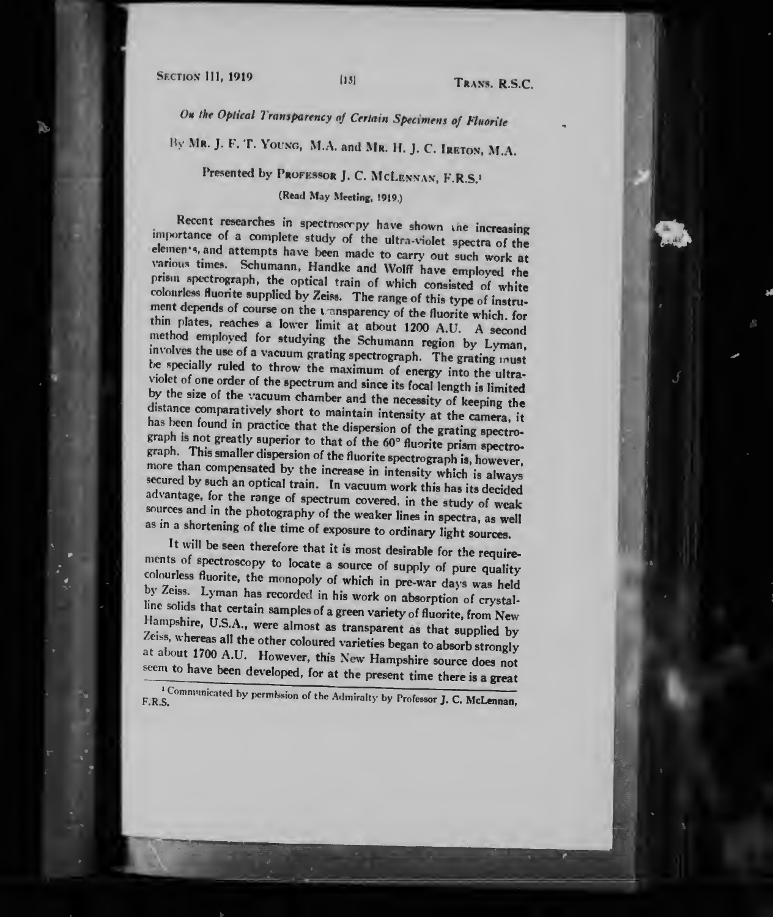On the Optical Transparency of Certain Specimens of Fluorite

By MR. J. F. T. YOUNG, M.A. and MR. H. J. C. IRETON, M.A.

Presented by PROFESSOR J. C. MCLENNAN, F.R.S.<sup>1</sup>

(Read May Meeting, 1919.)

Recent researches in spectroscopy have shown the increasing<br>importance of a complete study of the ultra-violet spectra of the<br>elemen's, and attempts have been made to carry out such work at<br>various times. Schumann, Handke involves the use of a vacuum grating spectrograph. The grating must<br>be specially ruled to throw the maximum of energy into the ultra-<br>violet of one order of the spectrum and since its focal length is limited by the size of the vacuum chamber and the necessity of keeping the distance comparatively short to maintain intensity at the camera, it has been found in practice that the dispersion of the grating spectro-<br>graph is not gr graph. This smaller dispersion of the fluorite spectrograph is, however, more than compensated by the increase in intensity which is always secured by such an optical train. In vacuum work this has its decided advantage, for the range of spectrum covered, in the study of weak as in a shortening of the time of exposure to sources and in the photography of um covered, in the study of weak<br>the weaker lines in spectra, as well<br>posure to ordinary light sources.

It will be seen therefore that it is most desirable for the require-<br>ments of spectroscopy to locate a source of supply of pure quality<br>colourless fluorite, the monopoly of which in pre-war days was held<br>by Zeiss. Lyman ha  $\frac{2 \text{cis}}{\text{cis}}$ , whereas all the other coloured varieties began to absorb strongly at about 1700 A.U. However, this New Homeskin as at about 1700 A.U. However, this New Hampshire source does not seem to have been developed, for at the present time there is a great

<sup>1</sup> Communicated by permission of the Admiralty by Professor J. C. McLennan,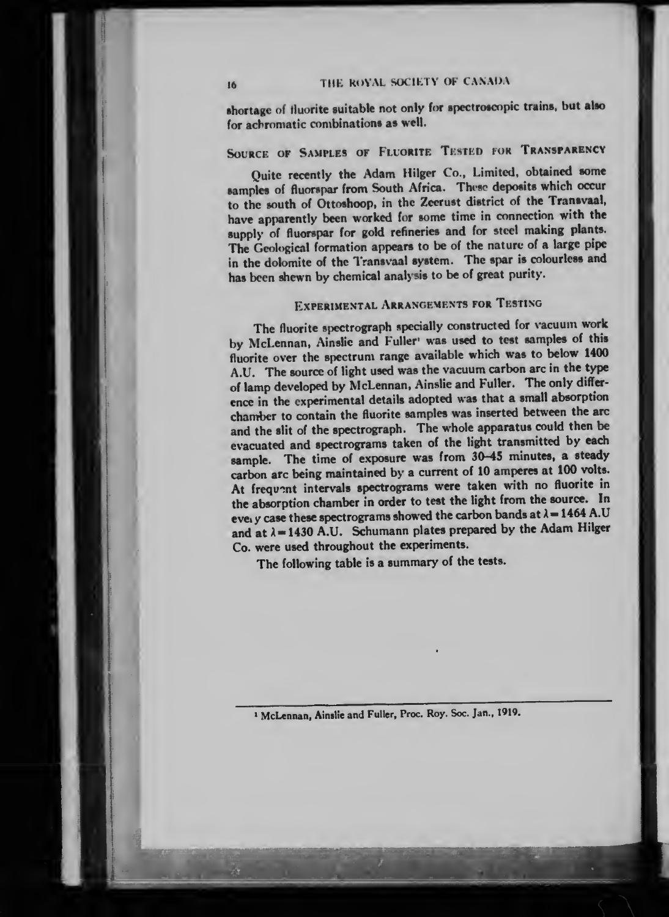shortage of fluorite suitable not only for spectroscopic trains, but also for achromatic combinations as well.

# SOURCE OF SAMPLES OF FLUORITE TESTED FOR TRANSPARENCY

Quite recently the Adam Hilger Co., Limited, obtained some samples of fluorspar from South Africa. These deposits which occur to the south of Ottoshoop, in the Zeerust district of the Transvaal, have apparently been worked for some time in connection with the supply of fluorspar for gold refineries and for steel making plants. The Geological formation appears to be of the nature of <sup>a</sup> large pipe in the dolomite of the Transvaal system. The spar is colourless and has been shewn by chemical analysis to be of great purity.

# Experimental Arrangements for Testing

The fluorite spectrograph specially constructed for vacuum work by McLennan, Ainslie and Fuller' was used to test samples of this fluorite over the spectrum range available which was to below <sup>1400</sup> A.U. The source of light used was the vacuum carbon arc in the type of lamp developed by McLennan, Ainslie and Fuller. The only difference in the experimental details adopted was that a small absorption chamber to contain the fluorite samples was inserted between the arc and the slit of the spectrograph. The whole apparatus could then be evacuated and spectrograms taken of the light transmitted by each sample. The time of exposure was from 30-45 minutes, <sup>a</sup> steady carbon arc being maintained by a current of <sup>10</sup> amperes at <sup>100</sup> volts. At frequent intervals spectrograms were taken with no fluorite in the absorption chamber in order to test the light from the source. In evely case these spectrograms showed the carbon bands at  $\lambda = 1464$  A.U and at  $\lambda = 1430$  A.U. Schumann plates prepared by the Adam Hilger Co. were used throughout the experiments.

The following table is a summary of the tests.

<sup>&</sup>gt; McLennan, Ainslie and Fuller, Proc. Roy. Soc. Jan., 1919.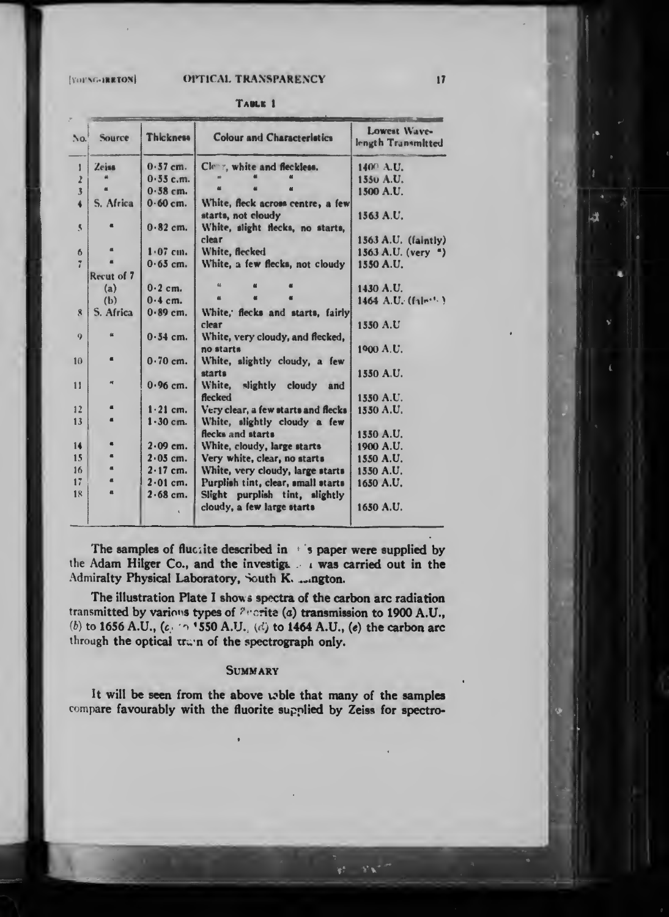[YOPNG-IRRTON]

#### **OPTICAL TRANSPARENCY**

| <b>Characterlatics</b> | Lowest Wa<br>length Transe |  |
|------------------------|----------------------------|--|
| nd fleckless.          | 1400 A.U.<br>1550 A.U.     |  |
| æ                      | 1500 A.U.                  |  |

**TABLE** 

ve-Source **Thickness Colour and**  $\Lambda$ <sub>O</sub> nitted Zeiss  $0.57$  cm. Clear, white as  $\pmb{\cdot}$  $0.55$  c.m.  $\mathbf{z}$  $0.58$  cm.  $\mathbf{3}$ White, fleck across centre, a few S. Africa  $0.60$  cm.  $\overline{\mathbf{4}}$ starts, not cloudy 1563 A.U.  $\mathbf{s}$  $0.82$  cm. White, slight flecks, no starts, clear 1563 A.U. (falntly)  $1.07$  cm. White, flecked 1563 A.U. (very ")  $\mathbf{6}$  $\overline{7}$  $0.65$  cm. White, a few flecks, not cloudy 1550 A.U. Recut of 7  $0.2$  cm. 1430 A.U.  $(a)$  $0.4$  cm. 1464 A.U. (falm<sup>11</sup>.)  $(b)$ S. Africa  $0.89$  cm. White, flecks and starts, fairly g clear 1550 A.U White, very cloudy, and flecked,  $\boldsymbol{Q}$  $0.54$  cm. no starts 1000 A.U. White, slightly cloudy, a few  $0.70$  cm.  $10$ starts 1550 A.U. White, slightly cloudy and  $11$  $0.96$  cm. flecked 1550 A.U.  $12$  $1.21$  cm. Very clear, a few starts and flecks 1550 A.U. 13  $1 - 30$  cm. White, slightly cloudy a few flecks and starts 1550 A.U.  $2.09$  cm. White, cloudy, large starts  $14$ 1900 A.U.  $2.05$  cm. 15 Very white, clear, no starts 1550 A.U.  $2.17$  cm. White, very cloudy, large starts 1550 A.U. 16 Purplish tint, clear, small starts  $17$  $2.01$  cm. 1650 A.U. 18  $2.68$  cm. Slight purplish tint, slightly cloudy, a few large starts 1650 A.U.

The samples of flucrite described in it's paper were supplied by the Adam Hilger Co., and the investiga. I was carried out in the Admiralty Physical Laboratory, South K. ... ngton.

The illustration Plate I shows spectra of the carbon arc radiation transmitted by various types of  $2$  crite (a) transmission to 1900 A.U., (b) to 1656 A.U.,  $(c_1 \cap 1550 \text{ A.U.})$ ,  $(d)$  to 1464 A.U.,  $(e)$  the carbon arc through the optical train of the spectrograph only.

#### **SUMMARY**

It will be seen from the above whie that many of the samples compare favourably with the fluorite supplied by Zeiss for spectro-

st si

 $17$ 

IJ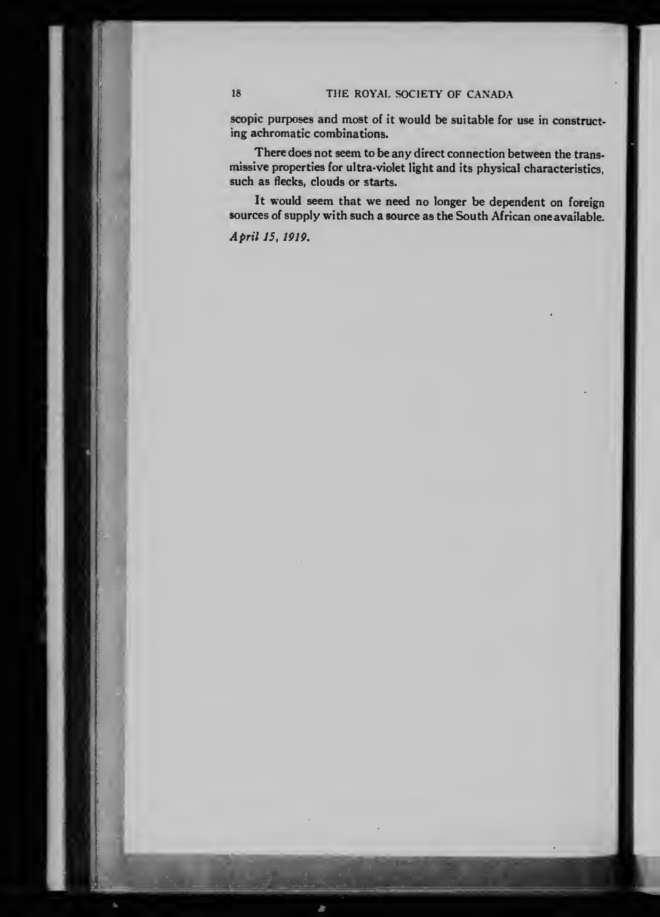### 18 THE ROYAL SOCIETY OF CANADA

scopic purposes and most of it would be suitable for use in constructing achromatic combinations.

There does not seem to be any direct connection between the trans missive properties for ultra-violet light and its physical characteristics, such as flecks, clouds or starts.

It would seem that we need no longer be dependent on foreign sources of supply with such a source as the South African oneavailable.

April 15, 1919.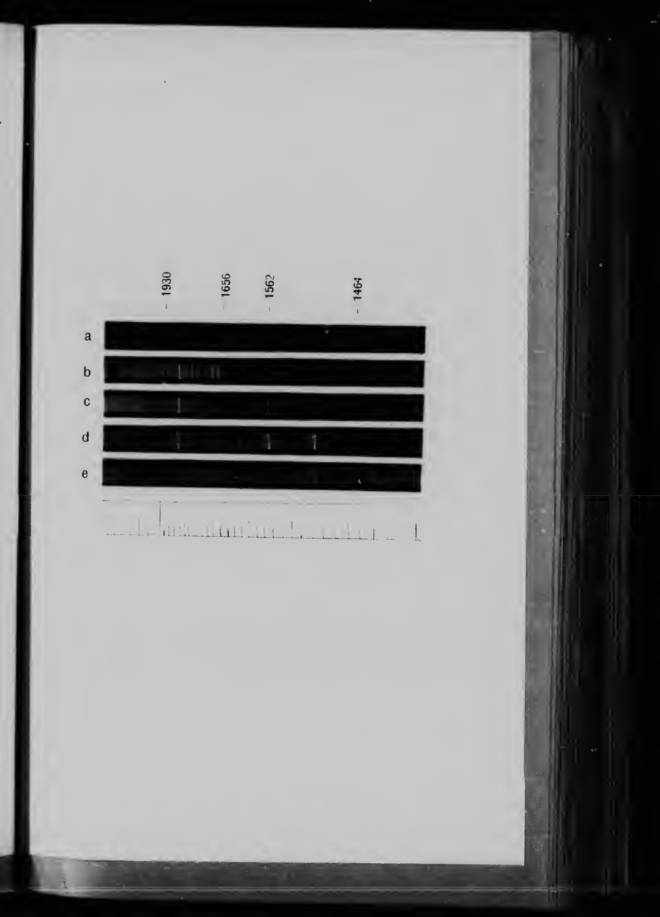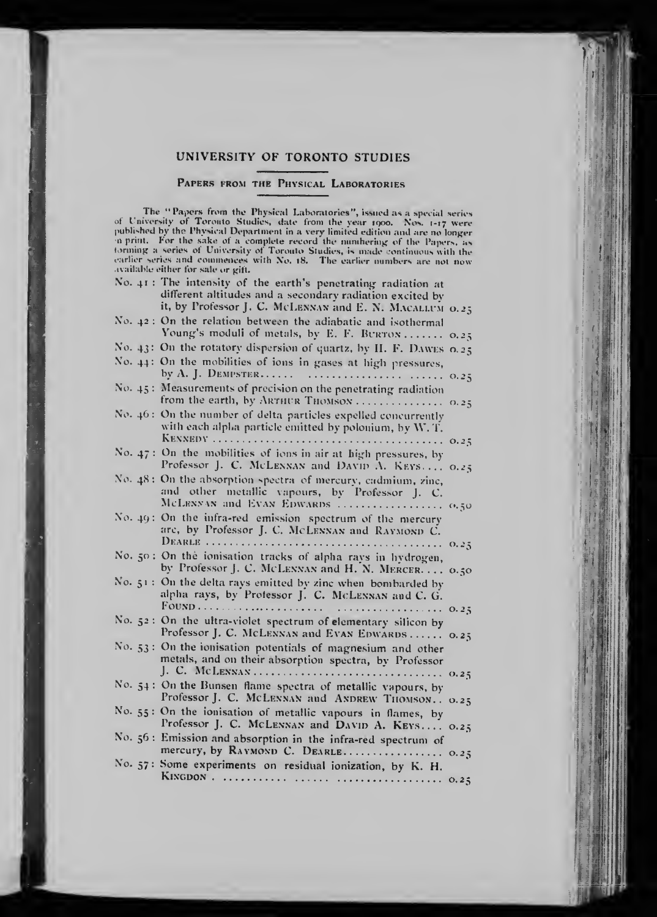## UNIVERSITY OF TORONTO STUDIES

### PAPERS FROM THE PHYSICAL LABORATORIES

The "Papers from the Physical Laboratories", issued as a special series<br>of University of Toronto Studies, date from the year 1900. Nos. 1-17 were<br>published by the Physical Department in a very limited edition and are no lo available either for sale or gift.  $N_A$ ,  $\mathbf{r}$ , The integration  $\mathcal{L}$   $\mathcal{L}$  $\ddot{\phantom{1}}$ 

|         | different altitudes and a secondary radiation excited by<br>it, by Professor J. C. McLENNAN and E. N. MACALLUM 0.25  |  |
|---------|----------------------------------------------------------------------------------------------------------------------|--|
|         | No. 42: On the relation between the adiabatic and isothermal<br>Young's moduli of metals, by E. F. BURTON 0.25       |  |
|         | No. 43: On the rotatory dispersion of quartz, by II. F. DAWES 0.25                                                   |  |
|         | No. 44: On the mobilities of ions in gases at high pressures,                                                        |  |
|         | No. 45: Measurements of precision on the penetrating radiation                                                       |  |
| No. 46: | On the number of delta particles expelled concurrently<br>with each alpha particle emitted by polonium, by W. T.     |  |
|         | No. 47: On the mobilities of ions in air at high pressures, by<br>Professor J. C. McLENNAN and DAVID A. KEYS 0.25    |  |
| No. 48: | On the absorption spectra of mercury, cadmium, zinc,<br>and other metallic vapours, by Professor J. C.               |  |
|         | No. 49: On the infra-red emission spectrum of the mercury<br>are, by Professor J. C. McLENNAN and RAYMOND C.         |  |
|         | No. 50: On the ionisation tracks of alpha rays in hydrogen,<br>by Professor J. C. McLENNAN and H. N. MERCER 0.50     |  |
|         | No. 51: On the delta rays emitted by zinc when bombarded by<br>alpha rays, by Professor J. C. McLENNAN and C. G.     |  |
|         | No. 52: On the ultra-violet spectrum of elementary silicon by<br>Professor J. C. McLENNAN and EVAN EDWARDS 0.25      |  |
|         | No. 53: On the ionisation potentials of magnesium and other<br>metals, and on their absorption spectra, by Professor |  |
|         | No. 54: On the Bunsen flame spectra of metallic vapours, by<br>Professor J. C. McLENNAN and ANDREW THOMSON 0.25      |  |
|         | No. 55: On the ionisation of metallic vapours in flames, by<br>Professor J. C. McLENNAN and DAVID A. KEYS 0.25       |  |
|         | No. 56: Emission and absorption in the infra-red spectrum of<br>mercury, by RAYMOND C. DEARLE 0.25                   |  |
|         | No. 57: Some experiments on residual ionization, by K. H.                                                            |  |